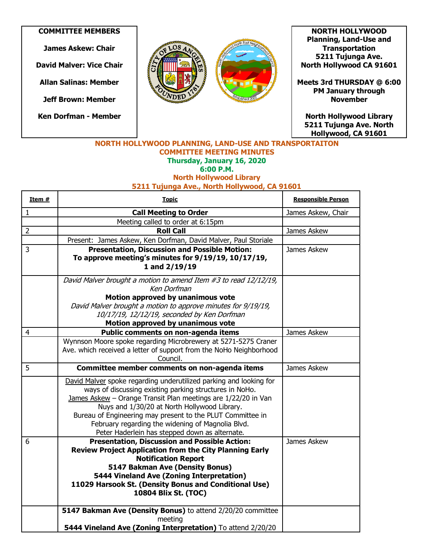## **COMMITTEE MEMBERS**

**James Askew: Chair**

**David Malver: Vice Chair**

**Allan Salinas: Member**

**Jeff Brown: Member**

**Ken Dorfman - Member**





**NORTH HOLLYWOOD Planning, Land-Use and Transportation 5211 Tujunga Ave. North Hollywood CA 91601** 

**Meets 3rd THURSDAY @ 6:00 PM January through November** 

**North Hollywood Library 5211 Tujunga Ave. North Hollywood, CA 91601** 

## **NORTH HOLLYWOOD PLANNING, LAND-USE AND TRANSPORTAITON COMMITTEE MEETING MINUTES Thursday, January 16, 2020 6:00 P.M. North Hollywood Library**

**5211 Tujunga Ave., North Hollywood, CA 91601**

| Item #         | <b>Topic</b>                                                                                                    | <b>Responsible Person</b> |
|----------------|-----------------------------------------------------------------------------------------------------------------|---------------------------|
| $\mathbf{1}$   | <b>Call Meeting to Order</b>                                                                                    | James Askew, Chair        |
|                | Meeting called to order at 6:15pm                                                                               |                           |
| $\overline{2}$ | <b>Roll Call</b>                                                                                                | James Askew               |
|                | Present: James Askew, Ken Dorfman, David Malver, Paul Storiale                                                  |                           |
| 3              | <b>Presentation, Discussion and Possible Motion:</b>                                                            | James Askew               |
|                | To approve meeting's minutes for 9/19/19, 10/17/19,                                                             |                           |
|                | 1 and $2/19/19$                                                                                                 |                           |
|                | David Malver brought a motion to amend Item #3 to read 12/12/19,                                                |                           |
|                | Ken Dorfman                                                                                                     |                           |
|                | Motion approved by unanimous vote                                                                               |                           |
|                | David Malver brought a motion to approve minutes for 9/19/19,                                                   |                           |
|                | 10/17/19, 12/12/19, seconded by Ken Dorfman                                                                     |                           |
| $\overline{4}$ | Motion approved by unanimous vote                                                                               | James Askew               |
|                | Public comments on non-agenda items<br>Wynnson Moore spoke regarding Microbrewery at 5271-5275 Craner           |                           |
|                | Ave. which received a letter of support from the NoHo Neighborhood                                              |                           |
|                | Council.                                                                                                        |                           |
| 5              | Committee member comments on non-agenda items                                                                   | James Askew               |
|                | David Malver spoke regarding underutilized parking and looking for                                              |                           |
|                | ways of discussing existing parking structures in NoHo.                                                         |                           |
|                | James Askew - Orange Transit Plan meetings are 1/22/20 in Van                                                   |                           |
|                | Nuys and 1/30/20 at North Hollywood Library.                                                                    |                           |
|                | Bureau of Engineering may present to the PLUT Committee in<br>February regarding the widening of Magnolia Blvd. |                           |
|                | Peter Haderlein has stepped down as alternate.                                                                  |                           |
| 6              | <b>Presentation, Discussion and Possible Action:</b>                                                            | James Askew               |
|                | <b>Review Project Application from the City Planning Early</b>                                                  |                           |
|                | <b>Notification Report</b>                                                                                      |                           |
|                | 5147 Bakman Ave (Density Bonus)                                                                                 |                           |
|                | 5444 Vineland Ave (Zoning Interpretation)                                                                       |                           |
|                | 11029 Harsook St. (Density Bonus and Conditional Use)                                                           |                           |
|                | 10804 Blix St. (TOC)                                                                                            |                           |
|                | 5147 Bakman Ave (Density Bonus) to attend 2/20/20 committee                                                     |                           |
|                | meeting                                                                                                         |                           |
|                | 5444 Vineland Ave (Zoning Interpretation) To attend 2/20/20                                                     |                           |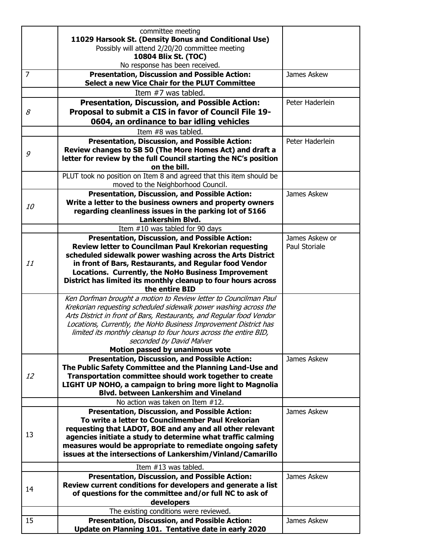|                | committee meeting<br>11029 Harsook St. (Density Bonus and Conditional Use)<br>Possibly will attend 2/20/20 committee meeting<br>10804 Blix St. (TOC)<br>No response has been received.                                                                                                                                                                                                                              |                                 |
|----------------|---------------------------------------------------------------------------------------------------------------------------------------------------------------------------------------------------------------------------------------------------------------------------------------------------------------------------------------------------------------------------------------------------------------------|---------------------------------|
| $\overline{7}$ | <b>Presentation, Discussion and Possible Action:</b><br>Select a new Vice Chair for the PLUT Committee                                                                                                                                                                                                                                                                                                              | James Askew                     |
|                | Item #7 was tabled.                                                                                                                                                                                                                                                                                                                                                                                                 |                                 |
| 8              | <b>Presentation, Discussion, and Possible Action:</b><br>Proposal to submit a CIS in favor of Council File 19-<br>0604, an ordinance to bar idling vehicles                                                                                                                                                                                                                                                         | Peter Haderlein                 |
|                | Item #8 was tabled.                                                                                                                                                                                                                                                                                                                                                                                                 |                                 |
| 9              | <b>Presentation, Discussion, and Possible Action:</b><br>Review changes to SB 50 (The More Homes Act) and draft a<br>letter for review by the full Council starting the NC's position<br>on the bill.                                                                                                                                                                                                               | Peter Haderlein                 |
|                | PLUT took no position on Item 8 and agreed that this item should be<br>moved to the Neighborhood Council.                                                                                                                                                                                                                                                                                                           |                                 |
| <i>10</i>      | <b>Presentation, Discussion, and Possible Action:</b><br>Write a letter to the business owners and property owners<br>regarding cleanliness issues in the parking lot of 5166<br>Lankershim Blvd.                                                                                                                                                                                                                   | James Askew                     |
|                | Item #10 was tabled for 90 days                                                                                                                                                                                                                                                                                                                                                                                     |                                 |
| 11             | Presentation, Discussion, and Possible Action:<br>Review letter to Councilman Paul Krekorian requesting<br>scheduled sidewalk power washing across the Arts District<br>in front of Bars, Restaurants, and Regular food Vendor<br>Locations. Currently, the NoHo Business Improvement<br>District has limited its monthly cleanup to four hours across<br>the entire BID                                            | James Askew or<br>Paul Storiale |
|                | Ken Dorfman brought a motion to Review letter to Councilman Paul<br>Krekorian requesting scheduled sidewalk power washing across the<br>Arts District in front of Bars, Restaurants, and Regular food Vendor<br>Locations, Currently, the NoHo Business Improvement District has<br>limited its monthly cleanup to four hours across the entire BID,<br>seconded by David Malver<br>Motion passed by unanimous vote |                                 |
|                | <b>Presentation, Discussion, and Possible Action:</b>                                                                                                                                                                                                                                                                                                                                                               | James Askew                     |
| 12             | The Public Safety Committee and the Planning Land-Use and<br>Transportation committee should work together to create<br>LIGHT UP NOHO, a campaign to bring more light to Magnolia<br><b>Blvd. between Lankershim and Vineland</b>                                                                                                                                                                                   |                                 |
|                | No action was taken on Item #12.                                                                                                                                                                                                                                                                                                                                                                                    |                                 |
| 13             | <b>Presentation, Discussion, and Possible Action:</b><br>To write a letter to Councilmember Paul Krekorian<br>requesting that LADOT, BOE and any and all other relevant<br>agencies initiate a study to determine what traffic calming<br>measures would be appropriate to remediate ongoing safety<br>issues at the intersections of Lankershim/Vinland/Camarillo                                                  | James Askew                     |
|                | Item #13 was tabled.                                                                                                                                                                                                                                                                                                                                                                                                |                                 |
| 14             | <b>Presentation, Discussion, and Possible Action:</b><br>Review current conditions for developers and generate a list<br>of questions for the committee and/or full NC to ask of<br>developers                                                                                                                                                                                                                      | James Askew                     |
|                | The existing conditions were reviewed.                                                                                                                                                                                                                                                                                                                                                                              |                                 |
| 15             | <b>Presentation, Discussion, and Possible Action:</b><br>Update on Planning 101. Tentative date in early 2020                                                                                                                                                                                                                                                                                                       | James Askew                     |